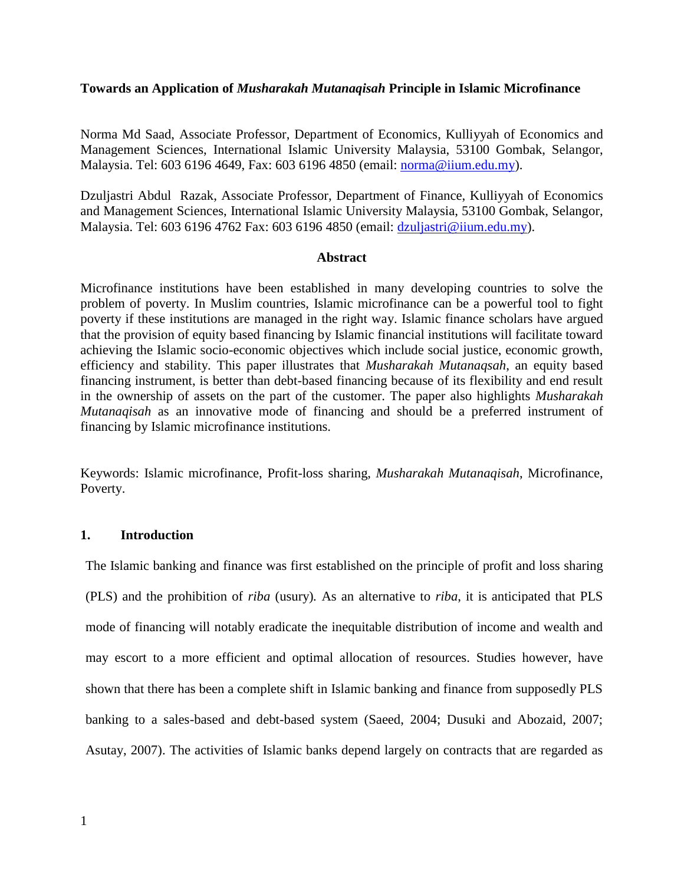## **Towards an Application of** *Musharakah Mutanaqisah* **Principle in Islamic Microfinance**

Norma Md Saad, Associate Professor, Department of Economics, Kulliyyah of Economics and Management Sciences, International Islamic University Malaysia, 53100 Gombak, Selangor, Malaysia. Tel: 603 6196 4649, Fax: 603 6196 4850 (email: [norma@iium.edu.my\)](mailto:norma@iium.edu.my).

Dzuljastri Abdul Razak, Associate Professor, Department of Finance, Kulliyyah of Economics and Management Sciences, International Islamic University Malaysia, 53100 Gombak, Selangor, Malaysia. Tel: 603 6196 4762 Fax: 603 6196 4850 (email: [dzuljastri@iium.edu.my\)](mailto:dzuljastri@iium.edu.my).

## **Abstract**

Microfinance institutions have been established in many developing countries to solve the problem of poverty. In Muslim countries, Islamic microfinance can be a powerful tool to fight poverty if these institutions are managed in the right way. Islamic finance scholars have argued that the provision of equity based financing by Islamic financial institutions will facilitate toward achieving the Islamic socio-economic objectives which include social justice, economic growth, efficiency and stability. This paper illustrates that *Musharakah Mutanaqsah*, an equity based financing instrument, is better than debt-based financing because of its flexibility and end result in the ownership of assets on the part of the customer. The paper also highlights *Musharakah Mutanaqisah* as an innovative mode of financing and should be a preferred instrument of financing by Islamic microfinance institutions.

Keywords: Islamic microfinance, Profit-loss sharing, *Musharakah Mutanaqisah*, Microfinance, Poverty.

# **1. Introduction**

The Islamic banking and finance was first established on the principle of profit and loss sharing (PLS) and the prohibition of *riba* (usury)*.* As an alternative to *riba*, it is anticipated that PLS mode of financing will notably eradicate the inequitable distribution of income and wealth and may escort to a more efficient and optimal allocation of resources. Studies however, have shown that there has been a complete shift in Islamic banking and finance from supposedly PLS banking to a sales-based and debt-based system (Saeed, 2004; Dusuki and Abozaid, 2007; Asutay, 2007). The activities of Islamic banks depend largely on contracts that are regarded as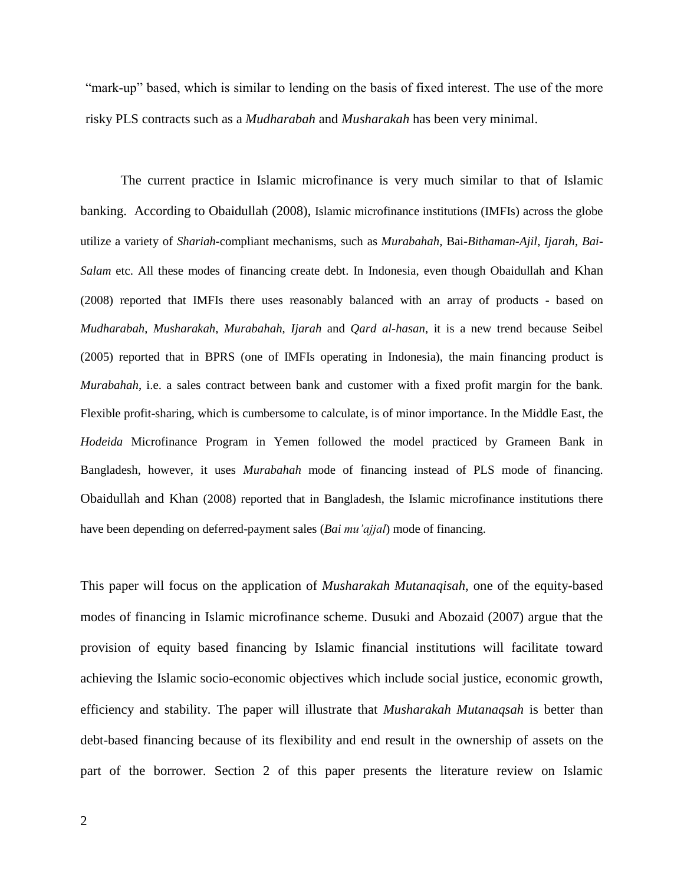"mark-up" based, which is similar to lending on the basis of fixed interest. The use of the more risky PLS contracts such as a *Mudharabah* and *Musharakah* has been very minimal.

The current practice in Islamic microfinance is very much similar to that of Islamic banking. According to Obaidullah (2008), Islamic microfinance institutions (IMFIs) across the globe utilize a variety of *Shariah-*compliant mechanisms, such as *Murabahah,* Bai*-Bithaman-Ajil*, *Ijarah*, *Bai-Salam* etc. All these modes of financing create debt. In Indonesia, even though Obaidullah and Khan (2008) reported that IMFIs there uses reasonably balanced with an array of products - based on *Mudharabah*, *Musharakah*, *Murabahah*, *Ijarah* and *Qard al-hasan*, it is a new trend because Seibel (2005) reported that in BPRS (one of IMFIs operating in Indonesia), the main financing product is *Murabahah*, i.e. a sales contract between bank and customer with a fixed profit margin for the bank. Flexible profit-sharing, which is cumbersome to calculate, is of minor importance. In the Middle East, the *Hodeida* Microfinance Program in Yemen followed the model practiced by Grameen Bank in Bangladesh, however, it uses *Murabahah* mode of financing instead of PLS mode of financing. Obaidullah and Khan (2008) reported that in Bangladesh, the Islamic microfinance institutions there have been depending on deferred-payment sales (*Bai mu'ajjal*) mode of financing.

This paper will focus on the application of *Musharakah Mutanaqisah*, one of the equity-based modes of financing in Islamic microfinance scheme. Dusuki and Abozaid (2007) argue that the provision of equity based financing by Islamic financial institutions will facilitate toward achieving the Islamic socio-economic objectives which include social justice, economic growth, efficiency and stability. The paper will illustrate that *Musharakah Mutanaqsah* is better than debt-based financing because of its flexibility and end result in the ownership of assets on the part of the borrower. Section 2 of this paper presents the literature review on Islamic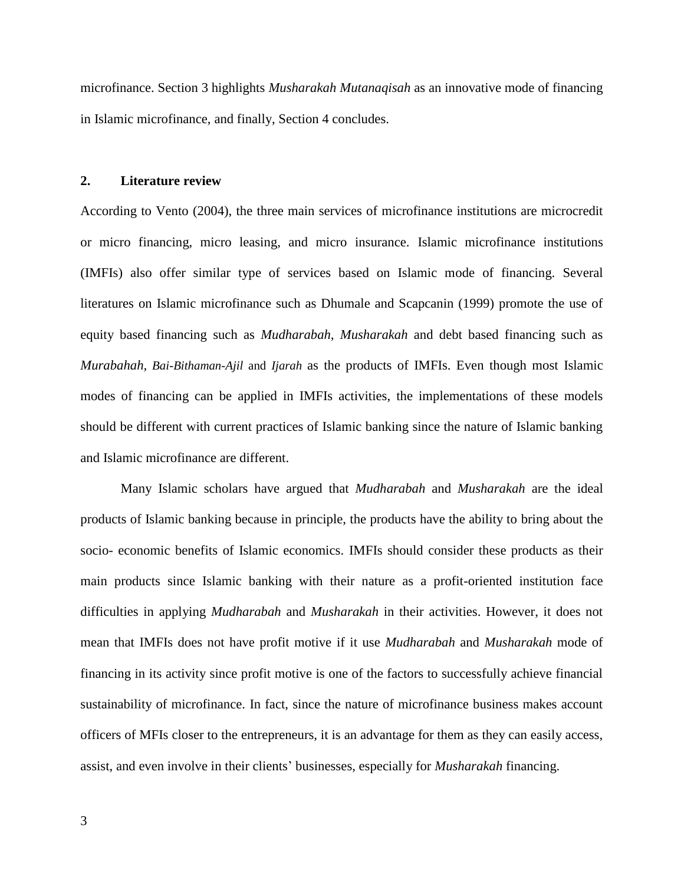microfinance. Section 3 highlights *Musharakah Mutanaqisah* as an innovative mode of financing in Islamic microfinance, and finally, Section 4 concludes.

#### **2. Literature review**

According to Vento (2004), the three main services of microfinance institutions are microcredit or micro financing, micro leasing, and micro insurance. Islamic microfinance institutions (IMFIs) also offer similar type of services based on Islamic mode of financing. Several literatures on Islamic microfinance such as Dhumale and Scapcanin (1999) promote the use of equity based financing such as *Mudharabah, Musharakah* and debt based financing such as *Murabahah, Bai-Bithaman-Ajil* and *Ijarah* as the products of IMFIs. Even though most Islamic modes of financing can be applied in IMFIs activities, the implementations of these models should be different with current practices of Islamic banking since the nature of Islamic banking and Islamic microfinance are different.

Many Islamic scholars have argued that *Mudharabah* and *Musharakah* are the ideal products of Islamic banking because in principle, the products have the ability to bring about the socio- economic benefits of Islamic economics. IMFIs should consider these products as their main products since Islamic banking with their nature as a profit-oriented institution face difficulties in applying *Mudharabah* and *Musharakah* in their activities. However, it does not mean that IMFIs does not have profit motive if it use *Mudharabah* and *Musharakah* mode of financing in its activity since profit motive is one of the factors to successfully achieve financial sustainability of microfinance. In fact, since the nature of microfinance business makes account officers of MFIs closer to the entrepreneurs, it is an advantage for them as they can easily access, assist, and even involve in their clients' businesses, especially for *Musharakah* financing.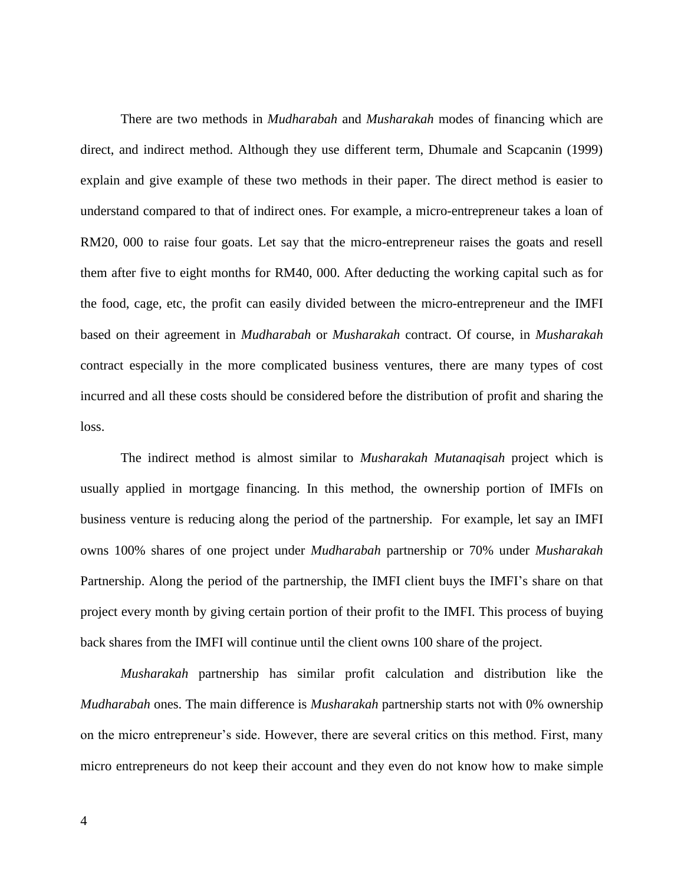There are two methods in *Mudharabah* and *Musharakah* modes of financing which are direct, and indirect method. Although they use different term, Dhumale and Scapcanin (1999) explain and give example of these two methods in their paper. The direct method is easier to understand compared to that of indirect ones. For example, a micro-entrepreneur takes a loan of RM20, 000 to raise four goats. Let say that the micro-entrepreneur raises the goats and resell them after five to eight months for RM40, 000. After deducting the working capital such as for the food, cage, etc, the profit can easily divided between the micro-entrepreneur and the IMFI based on their agreement in *Mudharabah* or *Musharakah* contract. Of course, in *Musharakah*  contract especially in the more complicated business ventures, there are many types of cost incurred and all these costs should be considered before the distribution of profit and sharing the loss.

The indirect method is almost similar to *Musharakah Mutanaqisah* project which is usually applied in mortgage financing. In this method, the ownership portion of IMFIs on business venture is reducing along the period of the partnership. For example, let say an IMFI owns 100% shares of one project under *Mudharabah* partnership or 70% under *Musharakah* Partnership. Along the period of the partnership, the IMFI client buys the IMFI's share on that project every month by giving certain portion of their profit to the IMFI. This process of buying back shares from the IMFI will continue until the client owns 100 share of the project.

*Musharakah* partnership has similar profit calculation and distribution like the *Mudharabah* ones. The main difference is *Musharakah* partnership starts not with 0% ownership on the micro entrepreneur's side. However, there are several critics on this method. First, many micro entrepreneurs do not keep their account and they even do not know how to make simple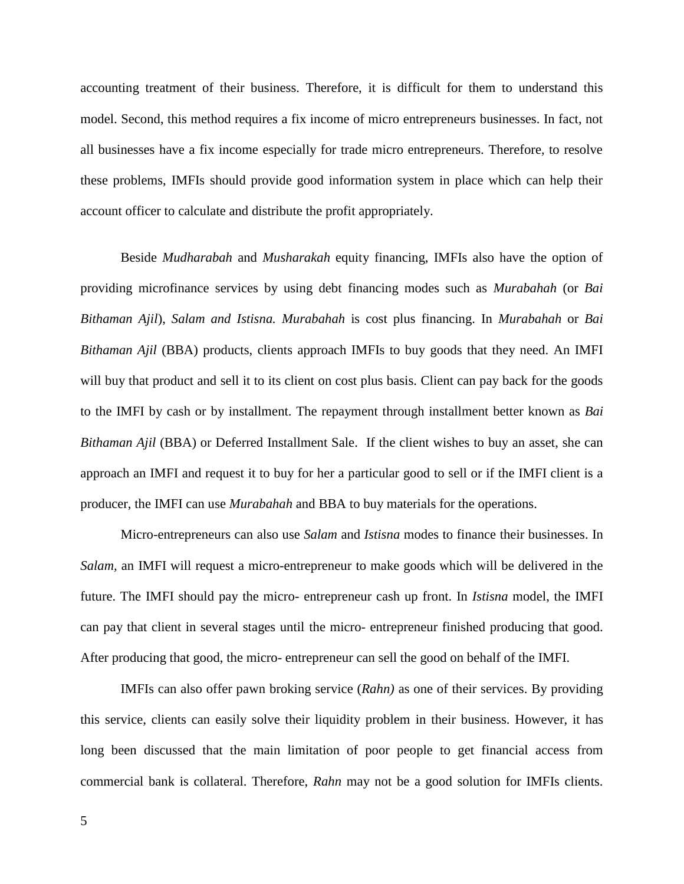accounting treatment of their business. Therefore, it is difficult for them to understand this model. Second, this method requires a fix income of micro entrepreneurs businesses. In fact, not all businesses have a fix income especially for trade micro entrepreneurs. Therefore, to resolve these problems, IMFIs should provide good information system in place which can help their account officer to calculate and distribute the profit appropriately.

Beside *Mudharabah* and *Musharakah* equity financing, IMFIs also have the option of providing microfinance services by using debt financing modes such as *Murabahah* (or *Bai Bithaman Ajil*), *Salam and Istisna. Murabahah* is cost plus financing. In *Murabahah* or *Bai Bithaman Ajil* (BBA) products, clients approach IMFIs to buy goods that they need. An IMFI will buy that product and sell it to its client on cost plus basis. Client can pay back for the goods to the IMFI by cash or by installment. The repayment through installment better known as *Bai Bithaman Ajil* (BBA) or Deferred Installment Sale. If the client wishes to buy an asset, she can approach an IMFI and request it to buy for her a particular good to sell or if the IMFI client is a producer, the IMFI can use *Murabahah* and BBA to buy materials for the operations.

Micro-entrepreneurs can also use *Salam* and *Istisna* modes to finance their businesses. In *Salam,* an IMFI will request a micro-entrepreneur to make goods which will be delivered in the future. The IMFI should pay the micro- entrepreneur cash up front. In *Istisna* model, the IMFI can pay that client in several stages until the micro- entrepreneur finished producing that good. After producing that good, the micro- entrepreneur can sell the good on behalf of the IMFI.

IMFIs can also offer pawn broking service (*Rahn)* as one of their services. By providing this service, clients can easily solve their liquidity problem in their business. However, it has long been discussed that the main limitation of poor people to get financial access from commercial bank is collateral. Therefore, *Rahn* may not be a good solution for IMFIs clients.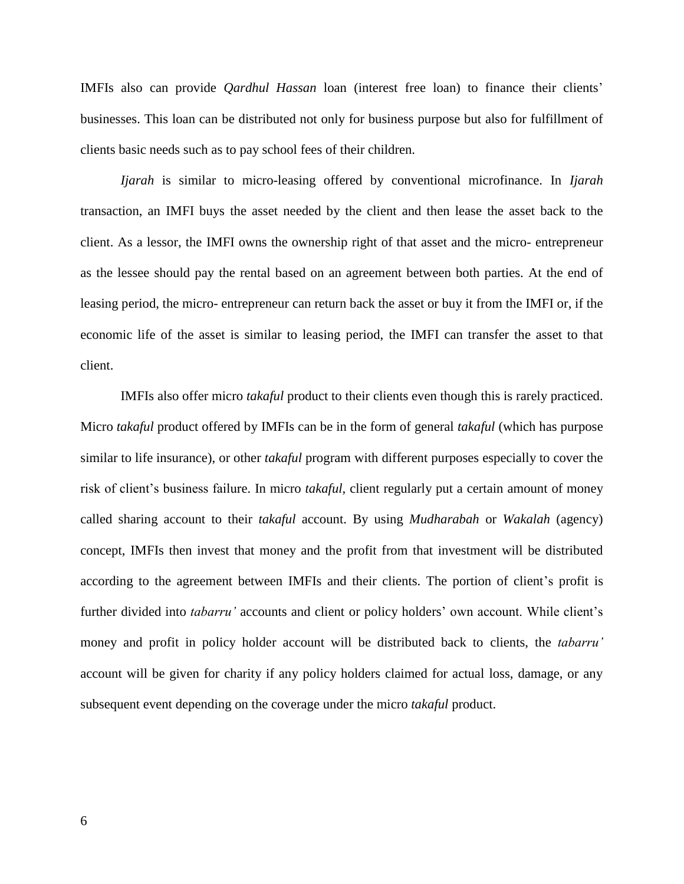IMFIs also can provide *Qardhul Hassan* loan (interest free loan) to finance their clients' businesses. This loan can be distributed not only for business purpose but also for fulfillment of clients basic needs such as to pay school fees of their children.

*Ijarah* is similar to micro-leasing offered by conventional microfinance. In *Ijarah*  transaction, an IMFI buys the asset needed by the client and then lease the asset back to the client. As a lessor, the IMFI owns the ownership right of that asset and the micro- entrepreneur as the lessee should pay the rental based on an agreement between both parties. At the end of leasing period, the micro- entrepreneur can return back the asset or buy it from the IMFI or, if the economic life of the asset is similar to leasing period, the IMFI can transfer the asset to that client.

IMFIs also offer micro *takaful* product to their clients even though this is rarely practiced. Micro *takaful* product offered by IMFIs can be in the form of general *takaful* (which has purpose similar to life insurance), or other *takaful* program with different purposes especially to cover the risk of client's business failure. In micro *takaful,* client regularly put a certain amount of money called sharing account to their *takaful* account. By using *Mudharabah* or *Wakalah* (agency) concept, IMFIs then invest that money and the profit from that investment will be distributed according to the agreement between IMFIs and their clients. The portion of client's profit is further divided into *tabarru'* accounts and client or policy holders' own account. While client's money and profit in policy holder account will be distributed back to clients, the *tabarru'*  account will be given for charity if any policy holders claimed for actual loss, damage, or any subsequent event depending on the coverage under the micro *takaful* product.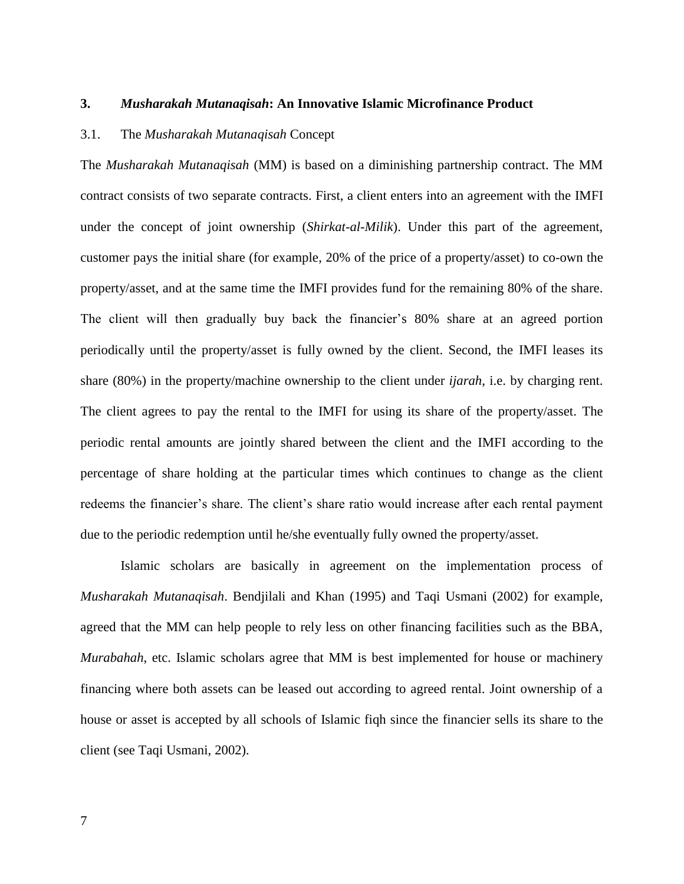#### **3.** *Musharakah Mutanaqisah***: An Innovative Islamic Microfinance Product**

# 3.1. The *Musharakah Mutanaqisah* Concept

The *Musharakah Mutanaqisah* (MM) is based on a diminishing partnership contract. The MM contract consists of two separate contracts. First, a client enters into an agreement with the IMFI under the concept of joint ownership (*Shirkat-al-Milik*). Under this part of the agreement, customer pays the initial share (for example, 20% of the price of a property/asset) to co-own the property/asset, and at the same time the IMFI provides fund for the remaining 80% of the share. The client will then gradually buy back the financier's 80% share at an agreed portion periodically until the property/asset is fully owned by the client. Second, the IMFI leases its share (80%) in the property/machine ownership to the client under *ijarah*, i.e. by charging rent. The client agrees to pay the rental to the IMFI for using its share of the property/asset. The periodic rental amounts are jointly shared between the client and the IMFI according to the percentage of share holding at the particular times which continues to change as the client redeems the financier's share. The client's share ratio would increase after each rental payment due to the periodic redemption until he/she eventually fully owned the property/asset.

Islamic scholars are basically in agreement on the implementation process of *Musharakah Mutanaqisah*. Bendjilali and Khan (1995) and Taqi Usmani (2002) for example, agreed that the MM can help people to rely less on other financing facilities such as the BBA, *Murabahah*, etc. Islamic scholars agree that MM is best implemented for house or machinery financing where both assets can be leased out according to agreed rental. Joint ownership of a house or asset is accepted by all schools of Islamic fiqh since the financier sells its share to the client (see Taqi Usmani, 2002).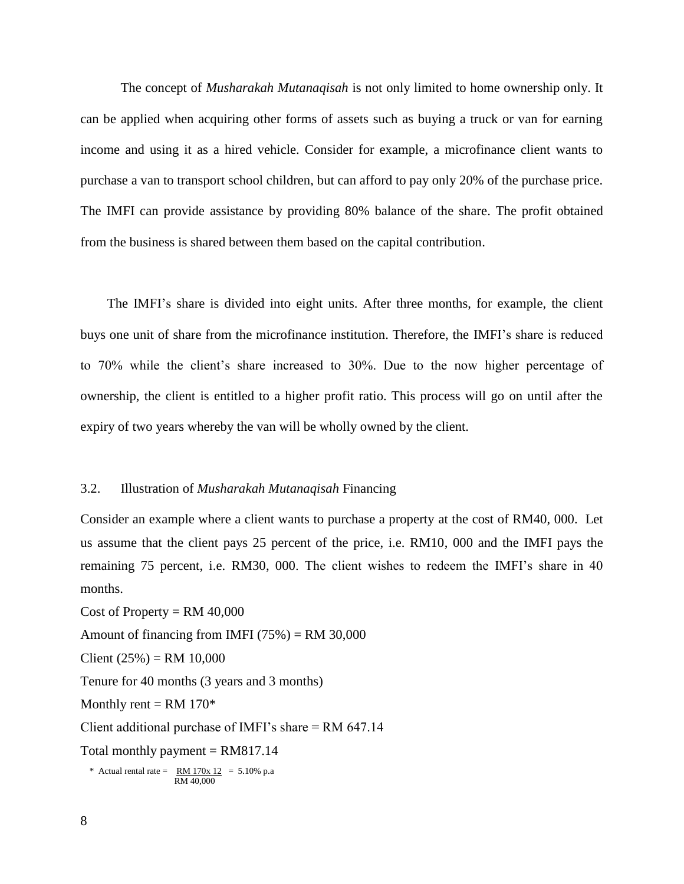The concept of *Musharakah Mutanaqisah* is not only limited to home ownership only. It can be applied when acquiring other forms of assets such as buying a truck or van for earning income and using it as a hired vehicle. Consider for example, a microfinance client wants to purchase a van to transport school children, but can afford to pay only 20% of the purchase price. The IMFI can provide assistance by providing 80% balance of the share. The profit obtained from the business is shared between them based on the capital contribution.

 The IMFI's share is divided into eight units. After three months, for example, the client buys one unit of share from the microfinance institution. Therefore, the IMFI's share is reduced to 70% while the client's share increased to 30%. Due to the now higher percentage of ownership, the client is entitled to a higher profit ratio. This process will go on until after the expiry of two years whereby the van will be wholly owned by the client.

## 3.2. Illustration of *Musharakah Mutanaqisah* Financing

Consider an example where a client wants to purchase a property at the cost of RM40, 000. Let us assume that the client pays 25 percent of the price, i.e. RM10, 000 and the IMFI pays the remaining 75 percent, i.e. RM30, 000. The client wishes to redeem the IMFI's share in 40 months.

Cost of Property =  $RM$  40,000 Amount of financing from IMFI  $(75%) = RM 30,000$ Client  $(25%) = RM 10,000$ Tenure for 40 months (3 years and 3 months) Monthly rent =  $RM 170*$ Client additional purchase of IMFI's share = RM 647.14 Total monthly payment  $= RM817.14$ \* Actual rental rate =  $\overline{RM} 170x 12 = 5.10\% p.a$ RM 40,000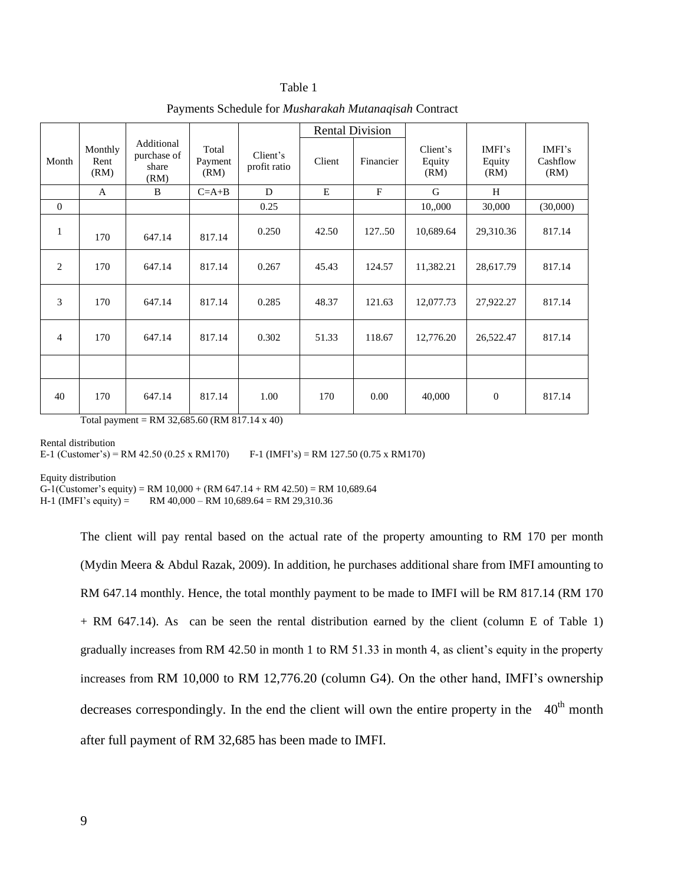#### Table 1

|          |                         |                                            |                          |                          | <b>Rental Division</b> |           |                            |                          |                            |
|----------|-------------------------|--------------------------------------------|--------------------------|--------------------------|------------------------|-----------|----------------------------|--------------------------|----------------------------|
| Month    | Monthly<br>Rent<br>(RM) | Additional<br>purchase of<br>share<br>(RM) | Total<br>Payment<br>(RM) | Client's<br>profit ratio | Client                 | Financier | Client's<br>Equity<br>(RM) | IMFI's<br>Equity<br>(RM) | IMFI's<br>Cashflow<br>(RM) |
|          | A                       | B                                          | $C=A+B$                  | D                        | E                      | F         | G                          | H                        |                            |
| $\Omega$ |                         |                                            |                          | 0.25                     |                        |           | 10,,000                    | 30,000                   | (30,000)                   |
| 1        | 170                     | 647.14                                     | 817.14                   | 0.250                    | 42.50                  | 12750     | 10,689.64                  | 29,310.36                | 817.14                     |
| 2        | 170                     | 647.14                                     | 817.14                   | 0.267                    | 45.43                  | 124.57    | 11,382.21                  | 28,617.79                | 817.14                     |
| 3        | 170                     | 647.14                                     | 817.14                   | 0.285                    | 48.37                  | 121.63    | 12,077.73                  | 27,922.27                | 817.14                     |
| 4        | 170                     | 647.14                                     | 817.14                   | 0.302                    | 51.33                  | 118.67    | 12,776.20                  | 26,522.47                | 817.14                     |
|          |                         |                                            |                          |                          |                        |           |                            |                          |                            |
| 40       | 170                     | 647.14                                     | 817.14                   | 1.00                     | 170                    | 0.00      | 40,000                     | $\boldsymbol{0}$         | 817.14                     |

Payments Schedule for *Musharakah Mutanaqisah* Contract

Total payment = RM 32,685.60 (RM 817.14 x 40)

Rental distribution

E-1 (Customer's) = RM 42.50 (0.25 x RM170) F-1 (IMFI's) = RM 127.50 (0.75 x RM170)

Equity distribution

G-1(Customer's equity) = RM 10,000 + (RM 647.14 + RM 42.50) = RM 10,689.64<br>H-1 (IMFI's equity) = RM 40,000 - RM 10,689.64 = RM 29,310.36

 $RM$  40,000 – RM 10,689.64 = RM 29,310.36

The client will pay rental based on the actual rate of the property amounting to RM 170 per month (Mydin Meera & Abdul Razak, 2009). In addition, he purchases additional share from IMFI amounting to RM 647.14 monthly. Hence, the total monthly payment to be made to IMFI will be RM 817.14 (RM 170 + RM 647.14). As can be seen the rental distribution earned by the client (column E of Table 1) gradually increases from RM 42.50 in month 1 to RM 51.33 in month 4, as client's equity in the property increases from RM 10,000 to RM 12,776.20 (column G4). On the other hand, IMFI's ownership decreases correspondingly. In the end the client will own the entire property in the  $40<sup>th</sup>$  month after full payment of RM 32,685 has been made to IMFI.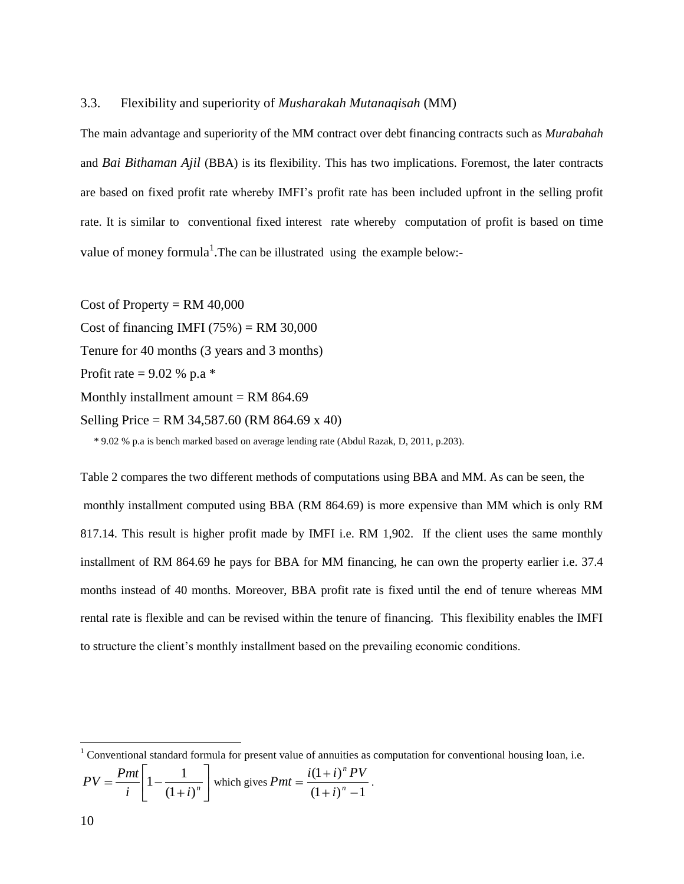#### 3.3. Flexibility and superiority of *Musharakah Mutanaqisah* (MM)

The main advantage and superiority of the MM contract over debt financing contracts such as *Murabahah*  and *Bai Bithaman Ajil* (BBA) is its flexibility. This has two implications. Foremost, the later contracts are based on fixed profit rate whereby IMFI's profit rate has been included upfront in the selling profit rate. It is similar to conventional fixed interest rate whereby computation of profit is based on time value of money formula<sup>1</sup>. The can be illustrated using the example below:-

Cost of Property =  $RM$  40,000 Cost of financing IMFI  $(75%) = RM 30,000$ Tenure for 40 months (3 years and 3 months) Profit rate =  $9.02 %$  p.a  $*$ Monthly installment amount  $= RM 864.69$ Selling Price = RM 34,587.60 (RM 864.69 x 40)

\* 9.02 % p.a is bench marked based on average lending rate (Abdul Razak, D, 2011, p.203).

Table 2 compares the two different methods of computations using BBA and MM. As can be seen, the monthly installment computed using BBA (RM 864.69) is more expensive than MM which is only RM 817.14. This result is higher profit made by IMFI i.e. RM 1,902. If the client uses the same monthly installment of RM 864.69 he pays for BBA for MM financing, he can own the property earlier i.e. 37.4 months instead of 40 months. Moreover, BBA profit rate is fixed until the end of tenure whereas MM rental rate is flexible and can be revised within the tenure of financing. This flexibility enables the IMFI to structure the client's monthly installment based on the prevailing economic conditions.

$$
PV = \frac{Pmt}{i} \left[ 1 - \frac{1}{\left(1+i\right)^n} \right] \text{ which gives } Pmt = \frac{i(1+i)^n PV}{\left(1+i\right)^n - 1}.
$$

 $\overline{a}$ 

 $1$  Conventional standard formula for present value of annuities as computation for conventional housing loan, i.e.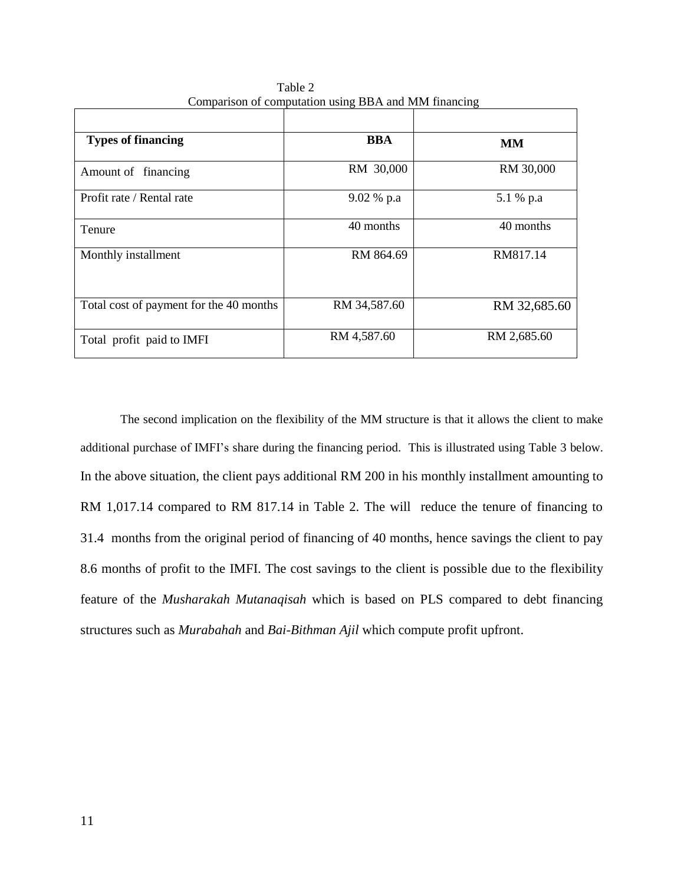| <b>Types of financing</b>               | <b>BBA</b>   | <b>MM</b>    |
|-----------------------------------------|--------------|--------------|
| Amount of financing                     | RM 30,000    | RM 30,000    |
| Profit rate / Rental rate               | 9.02 % p.a   | 5.1 % p.a    |
| Tenure                                  | 40 months    | 40 months    |
| Monthly installment                     | RM 864.69    | RM817.14     |
| Total cost of payment for the 40 months | RM 34,587.60 | RM 32,685.60 |
| Total profit paid to IMFI               | RM 4,587.60  | RM 2,685.60  |

 Table 2 Comparison of computation using BBA and MM financing

 The second implication on the flexibility of the MM structure is that it allows the client to make additional purchase of IMFI's share during the financing period. This is illustrated using Table 3 below. In the above situation, the client pays additional RM 200 in his monthly installment amounting to RM 1,017.14 compared to RM 817.14 in Table 2. The will reduce the tenure of financing to 31.4 months from the original period of financing of 40 months, hence savings the client to pay 8.6 months of profit to the IMFI. The cost savings to the client is possible due to the flexibility feature of the *Musharakah Mutanaqisah* which is based on PLS compared to debt financing structures such as *Murabahah* and *Bai-Bithman Ajil* which compute profit upfront.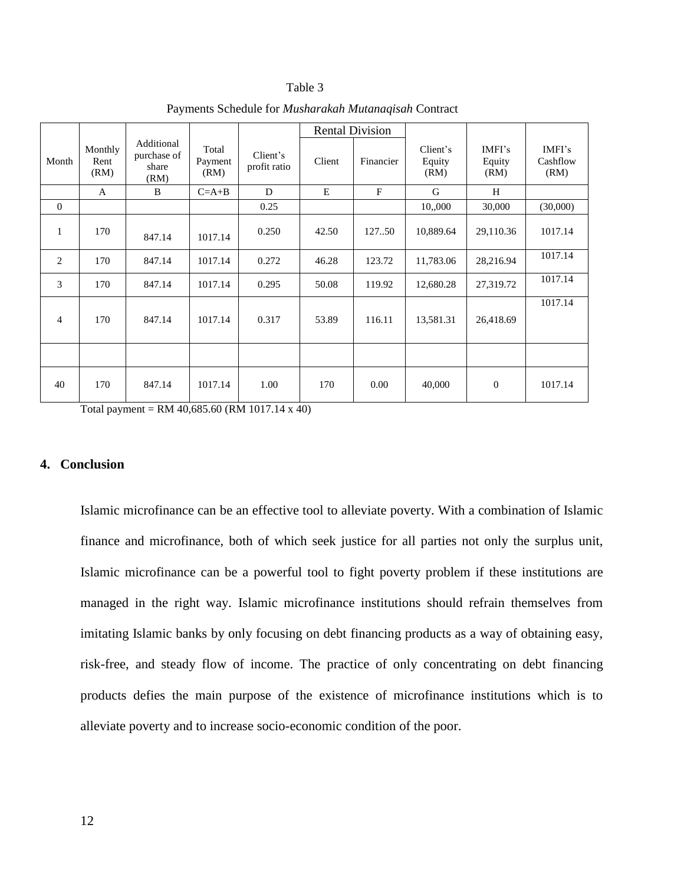#### Table 3

|                |                         |                                            |                          |                          | <b>Rental Division</b> |              |                            |                          |                            |
|----------------|-------------------------|--------------------------------------------|--------------------------|--------------------------|------------------------|--------------|----------------------------|--------------------------|----------------------------|
| Month          | Monthly<br>Rent<br>(RM) | Additional<br>purchase of<br>share<br>(RM) | Total<br>Payment<br>(RM) | Client's<br>profit ratio | Client                 | Financier    | Client's<br>Equity<br>(RM) | IMFI's<br>Equity<br>(RM) | IMFI's<br>Cashflow<br>(RM) |
|                | A                       | B                                          | $C=A+B$                  | D                        | E                      | $\mathbf{F}$ | G                          | H                        |                            |
| $\theta$       |                         |                                            |                          | 0.25                     |                        |              | 10,,000                    | 30,000                   | (30,000)                   |
| 1              | 170                     | 847.14                                     | 1017.14                  | 0.250                    | 42.50                  | 127.50       | 10,889.64                  | 29,110.36                | 1017.14                    |
| 2              | 170                     | 847.14                                     | 1017.14                  | 0.272                    | 46.28                  | 123.72       | 11,783.06                  | 28,216.94                | 1017.14                    |
| 3              | 170                     | 847.14                                     | 1017.14                  | 0.295                    | 50.08                  | 119.92       | 12,680.28                  | 27,319.72                | 1017.14                    |
| $\overline{4}$ | 170                     | 847.14                                     | 1017.14                  | 0.317                    | 53.89                  | 116.11       | 13,581.31                  | 26,418.69                | 1017.14                    |
|                |                         |                                            |                          |                          |                        |              |                            |                          |                            |
| 40             | 170                     | 847.14                                     | 1017.14                  | 1.00                     | 170                    | 0.00         | 40,000                     | $\mathbf{0}$             | 1017.14                    |

Payments Schedule for *Musharakah Mutanaqisah* Contract

Total payment = RM 40,685.60 (RM 1017.14 x 40)

# **4. Conclusion**

Islamic microfinance can be an effective tool to alleviate poverty. With a combination of Islamic finance and microfinance, both of which seek justice for all parties not only the surplus unit, Islamic microfinance can be a powerful tool to fight poverty problem if these institutions are managed in the right way. Islamic microfinance institutions should refrain themselves from imitating Islamic banks by only focusing on debt financing products as a way of obtaining easy, risk-free, and steady flow of income. The practice of only concentrating on debt financing products defies the main purpose of the existence of microfinance institutions which is to alleviate poverty and to increase socio-economic condition of the poor.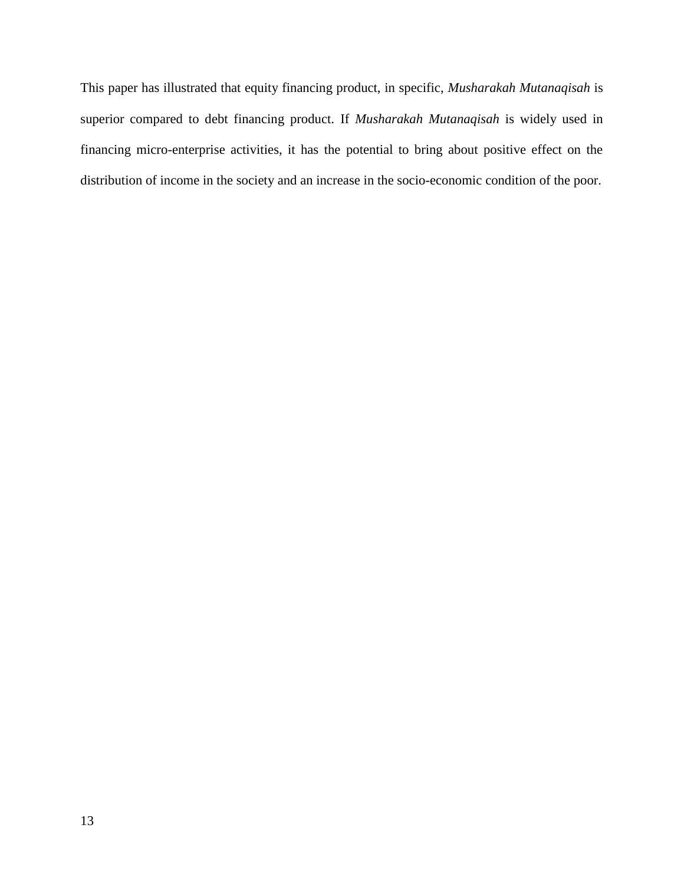This paper has illustrated that equity financing product, in specific, *Musharakah Mutanaqisah* is superior compared to debt financing product. If *Musharakah Mutanaqisah* is widely used in financing micro-enterprise activities, it has the potential to bring about positive effect on the distribution of income in the society and an increase in the socio-economic condition of the poor.